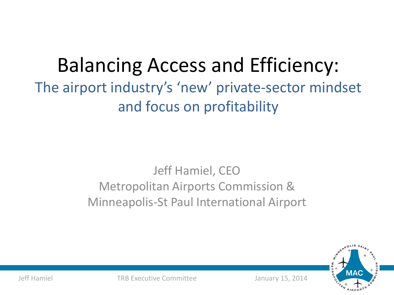### Balancing Access and Efficiency: The airport industry's 'new' private-sector mindset and focus on profitability

### Jeff Hamiel, CEO Metropolitan Airports Commission & Minneapolis-St Paul International Airport



Jeff Hamiel TRB Executive Committee January 15, 2014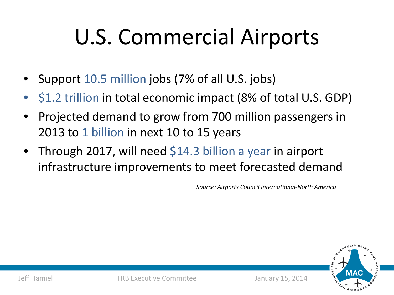# U.S. Commercial Airports

- Support 10.5 million jobs (7% of all U.S. jobs)
- \$1.2 trillion in total economic impact (8% of total U.S. GDP)
- Projected demand to grow from 700 million passengers in 2013 to 1 billion in next 10 to 15 years
- Through 2017, will need \$14.3 billion a year in airport infrastructure improvements to meet forecasted demand

*Source: Airports Council International-North America*

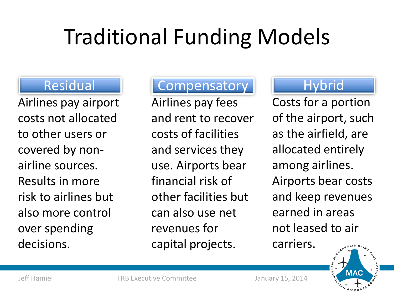# Traditional Funding Models

### Residual

Airlines pay airport costs not allocated to other users or covered by nonairline sources. Results in more risk to airlines but also more control over spending decisions.

### **Compensatory**

Airlines pay fees and rent to recover costs of facilities and services they use. Airports bear financial risk of other facilities but can also use net revenues for capital projects.

### **Hybrid**

Costs for a portion of the airport, such as the airfield, are allocated entirely among airlines. Airports bear costs and keep revenues earned in areas not leased to air carriers.

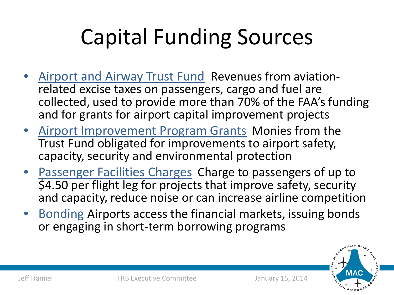# Capital Funding Sources

- Airport and Airway Trust Fund Revenues from aviation-<br>related excise taxes on passengers, cargo and fuel are collected, used to provide more than 70% of the FAA's funding and for grants for airport capital improvement projects
- Airport Improvement Program Grants Monies from the Trust Fund obligated for improvements to airport safety, capacity, security and environmental protection
- Passenger Facilities Charges Charge to passengers of up to \$4.50 per flight leg for projects that improve safety, security and capacity, reduce noise or can increase airline competition
- Bonding Airports access the financial markets, issuing bonds or engaging in short-term borrowing programs

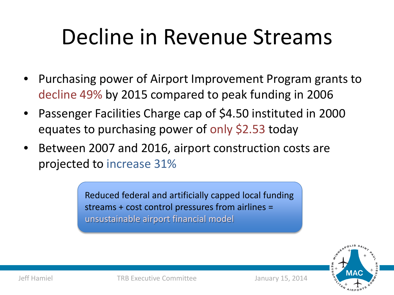### Decline in Revenue Streams

- Purchasing power of Airport Improvement Program grants to decline 49% by 2015 compared to peak funding in 2006
- Passenger Facilities Charge cap of \$4.50 instituted in 2000 equates to purchasing power of only \$2.53 today
- Between 2007 and 2016, airport construction costs are projected to increase 31%

Reduced federal and artificially capped local funding streams + cost control pressures from airlines = unsustainable airport financial model



Jeff Hamiel TRB Executive Committee January 15, 2014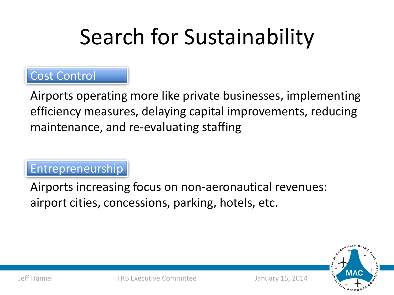# Search for Sustainability

#### Cost Control

Airports operating more like private businesses, implementing efficiency measures, delaying capital improvements, reducing maintenance, and re-evaluating staffing

### Entrepreneurship

Airports increasing focus on non-aeronautical revenues: airport cities, concessions, parking, hotels, etc.

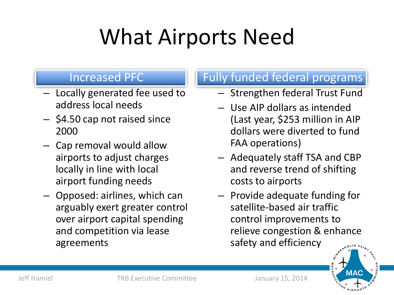### What Airports Need

#### Increased PFC

- Locally generated fee used to address local needs
- \$4.50 cap not raised since 2000
- Cap removal would allow airports to adjust charges locally in line with local airport funding needs
- Opposed: airlines, which can arguably exert greater control over airport capital spending and competition via lease agreements

#### Fully funded federal programs

- Strengthen federal Trust Fund
- Use AIP dollars as intended (Last year, \$253 million in AIP dollars were diverted to fund FAA operations)
- Adequately staff TSA and CBP and reverse trend of shifting costs to airports
- Provide adequate funding for satellite-based air traffic control improvements to relieve congestion & enhance safety and efficiency  $0<sup>L1S</sup> S<sub>A</sub>$

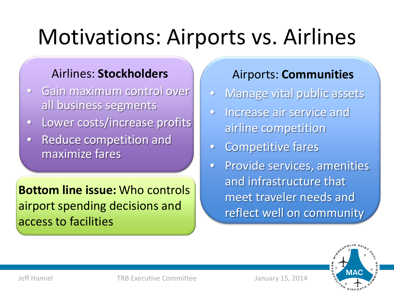### Motivations: Airports vs. Airlines

#### Airlines: **Stockholders**

- Gain maximum control over all business segments
- Lower costs/increase profits
- Reduce competition and maximize fares

**Bottom line issue:** Who controls airport spending decisions and access to facilities

#### Airports: **Communities**

- Manage vital public assets
- Increase air service and airline competition
- Competitive fares
- Provide services, amenities and infrastructure that meet traveler needs and reflect well on community



Jeff Hamiel TRB Executive Committee January 15, 2014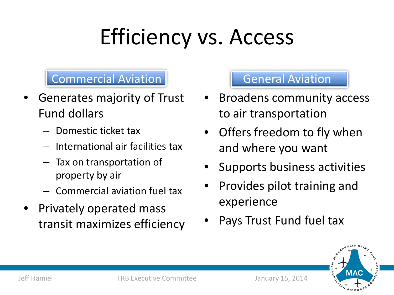# Efficiency vs. Access

#### Commercial Aviation

- Generates majority of Trust Fund dollars
	- Domestic ticket tax
	- International air facilities tax
	- Tax on transportation of property by air
	- Commercial aviation fuel tax
- Privately operated mass transit maximizes efficiency

#### General Aviation

- Broadens community access to air transportation
- Offers freedom to fly when and where you want
- Supports business activities
- Provides pilot training and experience
- Pays Trust Fund fuel tax